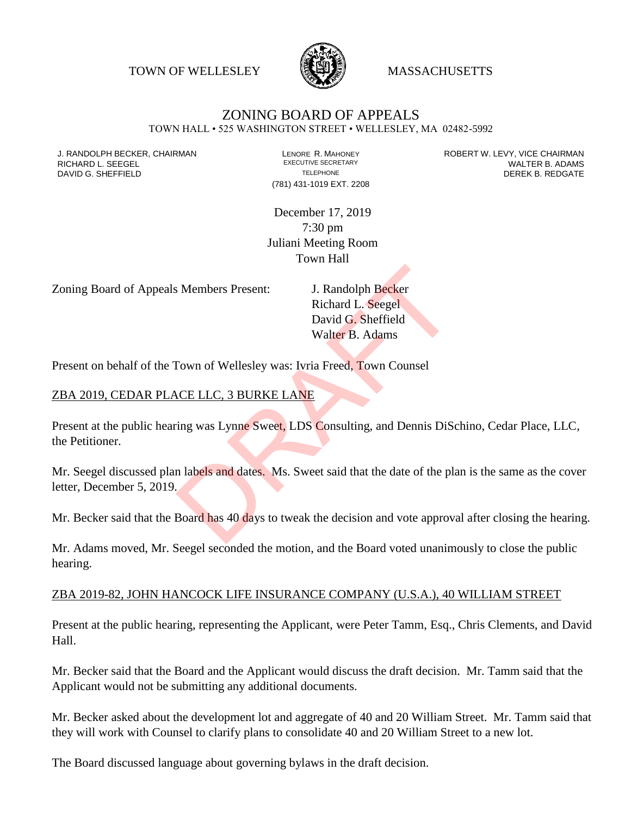TOWN OF WELLESLEY **WASSACHUSETTS** 



## ZONING BOARD OF APPEALS

TOWN HALL • 525 WASHINGTON STREET • WELLESLEY, MA 02482-5992

(781) 431-1019 EXT. 2208

J. RANDOLPH BECKER, CHAIRMAN LAND LENORE R. MAHONEY LEWING AN ANDERT W. LEVY, VICE CHAIRMAN LAND LENORE R. MAHONEY<br>RICHARD L. SFFGFI LADAMS RICHARD L. SEEGEL **EXECUTIVE SECRETARY CONTROLL SEEGETARY** WALTER B. ADAMS DAVID G. SHEFFIELD **TELEPHONE** TELEPHONE TELEPHONE **TELEPHONE DEREK B. REDGATE** 

> December 17, 2019 7:30 pm Juliani Meeting Room Town Hall

Zoning Board of Appeals Members Present: J. Randolph Becker

Richard L. Seegel David G. Sheffield Walter B. Adams

Present on behalf of the Town of Wellesley was: Ivria Freed, Town Counsel

## ZBA 2019, CEDAR PLACE LLC, 3 BURKE LANE

Present at the public hearing was Lynne Sweet, LDS Consulting, and Dennis DiSchino, Cedar Place, LLC, the Petitioner. J. Randolph Becker<br>
Richard L. Seegel<br>
David G. Sheffield<br>
Walter B. Adams<br>
Town of Wellesley was: Ivria Freed, Town Counsel<br>
REARE<br>
NOTE LANE<br>
The Sume Sweet, LDS Consulting, and Dennis DiSe<br>
The Sweet Said that the date

Mr. Seegel discussed plan labels and dates. Ms. Sweet said that the date of the plan is the same as the cover letter, December 5, 2019.

Mr. Becker said that the Board has 40 days to tweak the decision and vote approval after closing the hearing.

Mr. Adams moved, Mr. Seegel seconded the motion, and the Board voted unanimously to close the public hearing.

## ZBA 2019-82, JOHN HANCOCK LIFE INSURANCE COMPANY (U.S.A.), 40 WILLIAM STREET

Present at the public hearing, representing the Applicant, were Peter Tamm, Esq., Chris Clements, and David Hall.

Mr. Becker said that the Board and the Applicant would discuss the draft decision. Mr. Tamm said that the Applicant would not be submitting any additional documents.

Mr. Becker asked about the development lot and aggregate of 40 and 20 William Street. Mr. Tamm said that they will work with Counsel to clarify plans to consolidate 40 and 20 William Street to a new lot.

The Board discussed language about governing bylaws in the draft decision.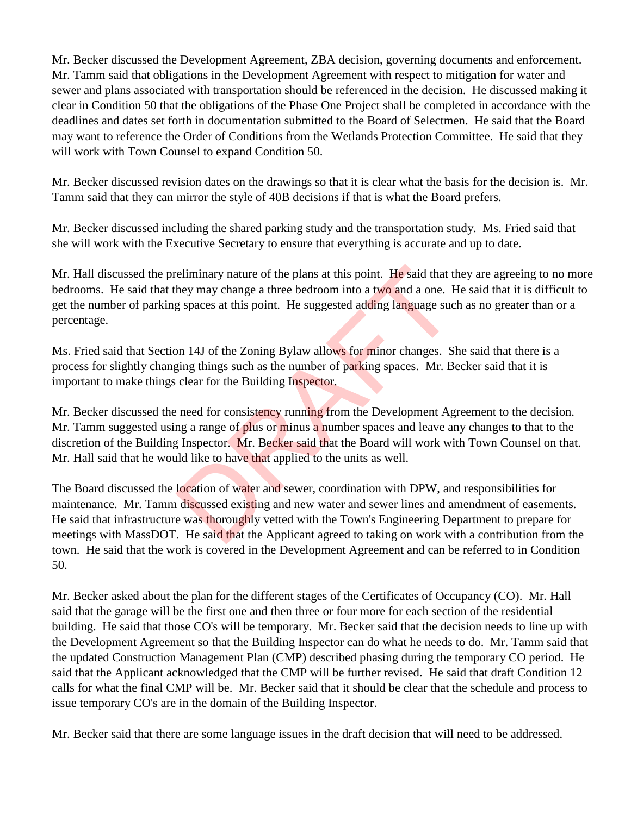Mr. Becker discussed the Development Agreement, ZBA decision, governing documents and enforcement. Mr. Tamm said that obligations in the Development Agreement with respect to mitigation for water and sewer and plans associated with transportation should be referenced in the decision. He discussed making it clear in Condition 50 that the obligations of the Phase One Project shall be completed in accordance with the deadlines and dates set forth in documentation submitted to the Board of Selectmen. He said that the Board may want to reference the Order of Conditions from the Wetlands Protection Committee. He said that they will work with Town Counsel to expand Condition 50.

Mr. Becker discussed revision dates on the drawings so that it is clear what the basis for the decision is. Mr. Tamm said that they can mirror the style of 40B decisions if that is what the Board prefers.

Mr. Becker discussed including the shared parking study and the transportation study. Ms. Fried said that she will work with the Executive Secretary to ensure that everything is accurate and up to date.

Mr. Hall discussed the preliminary nature of the plans at this point. He said that they are agreeing to no more bedrooms. He said that they may change a three bedroom into a two and a one. He said that it is difficult to get the number of parking spaces at this point. He suggested adding language such as no greater than or a percentage.

Ms. Fried said that Section 14J of the Zoning Bylaw allows for minor changes. She said that there is a process for slightly changing things such as the number of parking spaces. Mr. Becker said that it is important to make things clear for the Building Inspector.

Mr. Becker discussed the need for consistency running from the Development Agreement to the decision. Mr. Tamm suggested using a range of plus or minus a number spaces and leave any changes to that to the discretion of the Building Inspector. Mr. Becker said that the Board will work with Town Counsel on that. Mr. Hall said that he would like to have that applied to the units as well.

The Board discussed the location of water and sewer, coordination with DPW, and responsibilities for maintenance. Mr. Tamm discussed existing and new water and sewer lines and amendment of easements. He said that infrastructure was thoroughly vetted with the Town's Engineering Department to prepare for meetings with MassDOT. He said that the Applicant agreed to taking on work with a contribution from the town. He said that the work is covered in the Development Agreement and can be referred to in Condition 50. eliminary nature of the plans at this point. He said that they may change a three bedroom into a two and a one. If g spaces at this point. He suggested adding language suc<br>on 14J of the Zoning Bylaw allows for minor change

Mr. Becker asked about the plan for the different stages of the Certificates of Occupancy (CO). Mr. Hall said that the garage will be the first one and then three or four more for each section of the residential building. He said that those CO's will be temporary. Mr. Becker said that the decision needs to line up with the Development Agreement so that the Building Inspector can do what he needs to do. Mr. Tamm said that the updated Construction Management Plan (CMP) described phasing during the temporary CO period. He said that the Applicant acknowledged that the CMP will be further revised. He said that draft Condition 12 calls for what the final CMP will be. Mr. Becker said that it should be clear that the schedule and process to issue temporary CO's are in the domain of the Building Inspector.

Mr. Becker said that there are some language issues in the draft decision that will need to be addressed.